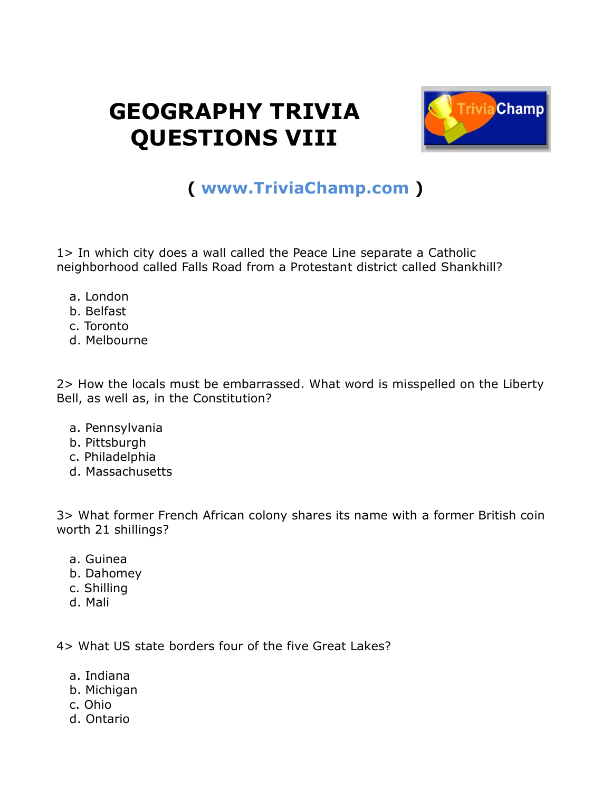## **GEOGRAPHY TRIVIA QUESTIONS VIII**



## **( [www.TriviaChamp.com](http://www.triviachamp.com/) )**

1> In which city does a wall called the Peace Line separate a Catholic neighborhood called Falls Road from a Protestant district called Shankhill?

- a. London
- b. Belfast
- c. Toronto
- d. Melbourne

2> How the locals must be embarrassed. What word is misspelled on the Liberty Bell, as well as, in the Constitution?

- a. Pennsylvania
- b. Pittsburgh
- c. Philadelphia
- d. Massachusetts

3> What former French African colony shares its name with a former British coin worth 21 shillings?

- a. Guinea
- b. Dahomey
- c. Shilling
- d. Mali

4> What US state borders four of the five Great Lakes?

- a. Indiana
- b. Michigan
- c. Ohio
- d. Ontario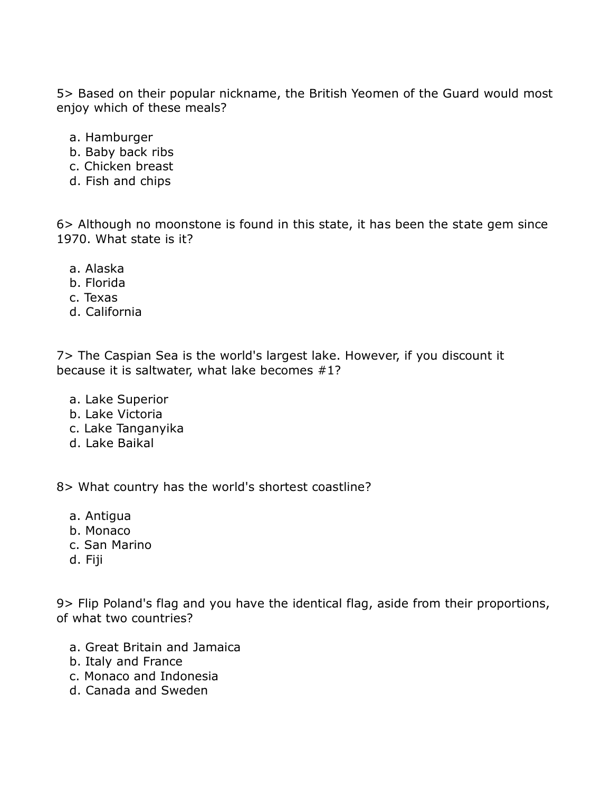5> Based on their popular nickname, the British Yeomen of the Guard would most enjoy which of these meals?

- a. Hamburger
- b. Baby back ribs
- c. Chicken breast
- d. Fish and chips

6> Although no moonstone is found in this state, it has been the state gem since 1970. What state is it?

- a. Alaska
- b. Florida
- c. Texas
- d. California

7> The Caspian Sea is the world's largest lake. However, if you discount it because it is saltwater, what lake becomes #1?

- a. Lake Superior
- b. Lake Victoria
- c. Lake Tanganyika
- d. Lake Baikal

8> What country has the world's shortest coastline?

- a. Antigua
- b. Monaco
- c. San Marino
- d. Fiji

9> Flip Poland's flag and you have the identical flag, aside from their proportions, of what two countries?

- a. Great Britain and Jamaica
- b. Italy and France
- c. Monaco and Indonesia
- d. Canada and Sweden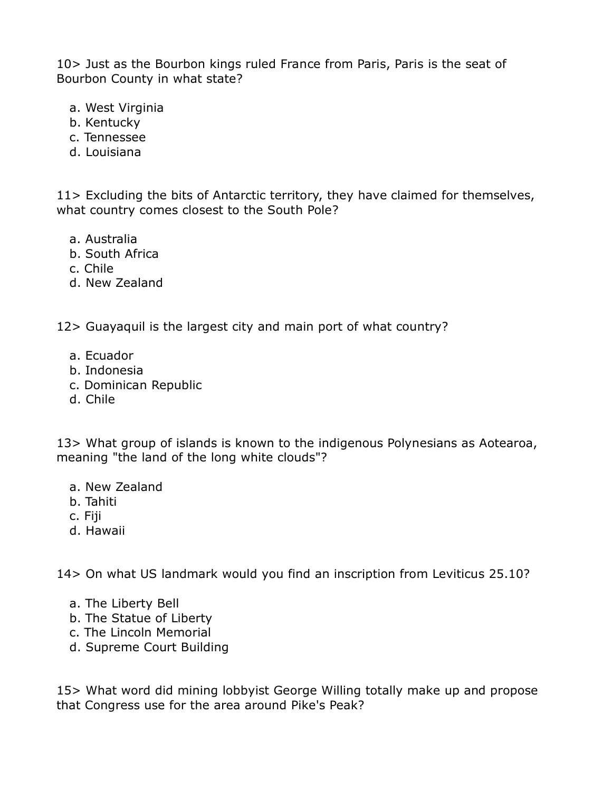10> Just as the Bourbon kings ruled France from Paris, Paris is the seat of Bourbon County in what state?

- a. West Virginia
- b. Kentucky
- c. Tennessee
- d. Louisiana

11> Excluding the bits of Antarctic territory, they have claimed for themselves, what country comes closest to the South Pole?

- a. Australia
- b. South Africa
- c. Chile
- d. New Zealand

12> Guayaquil is the largest city and main port of what country?

- a. Ecuador
- b. Indonesia
- c. Dominican Republic
- d. Chile

13> What group of islands is known to the indigenous Polynesians as Aotearoa, meaning "the land of the long white clouds"?

- a. New Zealand
- b. Tahiti
- c. Fiji
- d. Hawaii

14> On what US landmark would you find an inscription from Leviticus 25.10?

- a. The Liberty Bell
- b. The Statue of Liberty
- c. The Lincoln Memorial
- d. Supreme Court Building

15> What word did mining lobbyist George Willing totally make up and propose that Congress use for the area around Pike's Peak?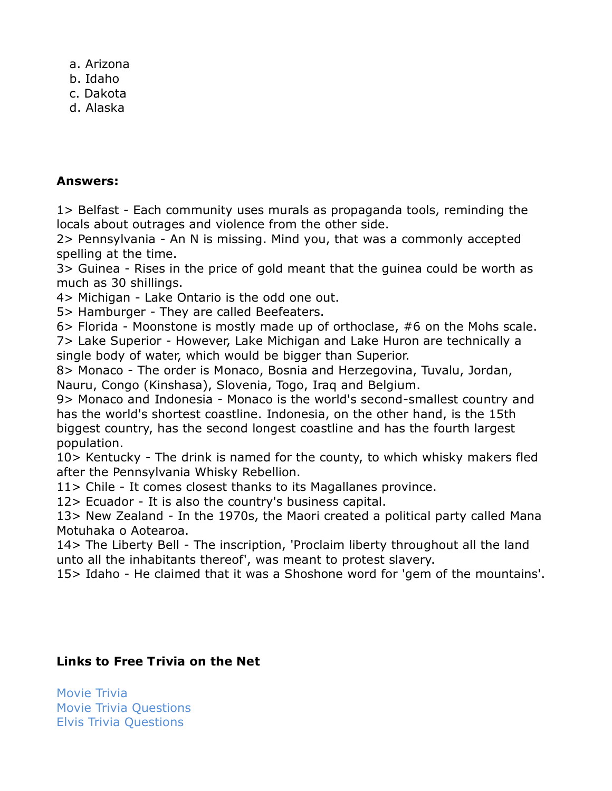a. Arizona

- b. Idaho
- c. Dakota
- d. Alaska

## **Answers:**

1> Belfast - Each community uses murals as propaganda tools, reminding the locals about outrages and violence from the other side.

2> Pennsylvania - An N is missing. Mind you, that was a commonly accepted spelling at the time.

3> Guinea - Rises in the price of gold meant that the guinea could be worth as much as 30 shillings.

4> Michigan - Lake Ontario is the odd one out.

5> Hamburger - They are called Beefeaters.

6> Florida - Moonstone is mostly made up of orthoclase, #6 on the Mohs scale. 7> Lake Superior - However, Lake Michigan and Lake Huron are technically a single body of water, which would be bigger than Superior.

8> Monaco - The order is Monaco, Bosnia and Herzegovina, Tuvalu, Jordan, Nauru, Congo (Kinshasa), Slovenia, Togo, Iraq and Belgium.

9> Monaco and Indonesia - Monaco is the world's second-smallest country and has the world's shortest coastline. Indonesia, on the other hand, is the 15th biggest country, has the second longest coastline and has the fourth largest population.

10> Kentucky - The drink is named for the county, to which whisky makers fled after the Pennsylvania Whisky Rebellion.

11> Chile - It comes closest thanks to its Magallanes province.

12> Ecuador - It is also the country's business capital.

13> New Zealand - In the 1970s, the Maori created a political party called Mana Motuhaka o Aotearoa.

14> The Liberty Bell - The inscription, 'Proclaim liberty throughout all the land unto all the inhabitants thereof', was meant to protest slavery.

15> Idaho - He claimed that it was a Shoshone word for 'gem of the mountains'.

## **Links to Free Trivia on the Net**

[Movie Trivia](http://movietriviachamp.com/) [Movie Trivia Questions](http://www.squidoo.com/movietrivia) [Elvis Trivia Questions](http://elvispresleytrivia.com/)